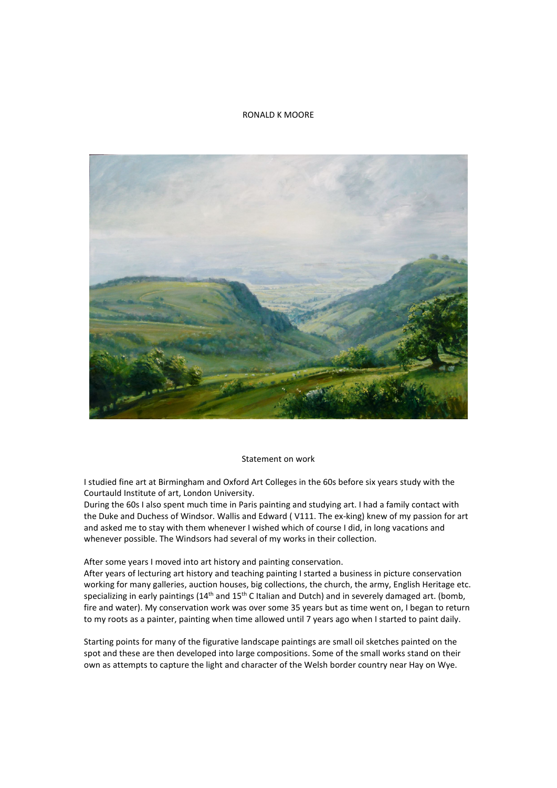## RONALD K MOORE



## Statement on work

I studied fine art at Birmingham and Oxford Art Colleges in the 60s before six years study with the Courtauld Institute of art, London University.

During the 60s I also spent much time in Paris painting and studying art. I had a family contact with the Duke and Duchess of Windsor. Wallis and Edward ( V111. The ex-king) knew of my passion for art and asked me to stay with them whenever I wished which of course I did, in long vacations and whenever possible. The Windsors had several of my works in their collection.

After some years I moved into art history and painting conservation.

After years of lecturing art history and teaching painting I started a business in picture conservation working for many galleries, auction houses, big collections, the church, the army, English Heritage etc. specializing in early paintings ( $14<sup>th</sup>$  and  $15<sup>th</sup>$  C Italian and Dutch) and in severely damaged art. (bomb, fire and water). My conservation work was over some 35 years but as time went on, I began to return to my roots as a painter, painting when time allowed until 7 years ago when I started to paint daily.

Starting points for many of the figurative landscape paintings are small oil sketches painted on the spot and these are then developed into large compositions. Some of the small works stand on their own as attempts to capture the light and character of the Welsh border country near Hay on Wye.